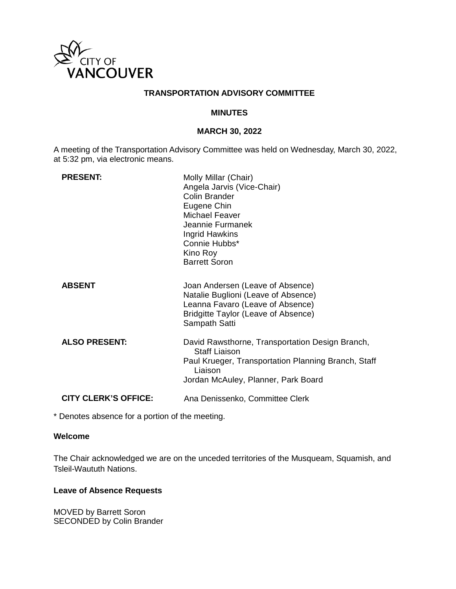

## **TRANSPORTATION ADVISORY COMMITTEE**

#### **MINUTES**

### **MARCH 30, 2022**

A meeting of the Transportation Advisory Committee was held on Wednesday, March 30, 2022, at 5:32 pm, via electronic means.

| <b>PRESENT:</b>             | Molly Millar (Chair)<br>Angela Jarvis (Vice-Chair)<br>Colin Brander<br>Eugene Chin<br><b>Michael Feaver</b><br>Jeannie Furmanek<br>Ingrid Hawkins<br>Connie Hubbs*<br>Kino Roy<br><b>Barrett Soron</b> |
|-----------------------------|--------------------------------------------------------------------------------------------------------------------------------------------------------------------------------------------------------|
| <b>ABSENT</b>               | Joan Andersen (Leave of Absence)<br>Natalie Buglioni (Leave of Absence)<br>Leanna Favaro (Leave of Absence)<br>Bridgitte Taylor (Leave of Absence)<br>Sampath Satti                                    |
| <b>ALSO PRESENT:</b>        | David Rawsthorne, Transportation Design Branch,<br><b>Staff Liaison</b><br>Paul Krueger, Transportation Planning Branch, Staff<br>Liaison<br>Jordan McAuley, Planner, Park Board                       |
| <b>CITY CLERK'S OFFICE:</b> | Ana Denissenko, Committee Clerk                                                                                                                                                                        |

\* Denotes absence for a portion of the meeting.

# **Welcome**

The Chair acknowledged we are on the unceded territories of the Musqueam, Squamish, and Tsleil-Waututh Nations.

#### **Leave of Absence Requests**

MOVED by Barrett Soron SECONDED by Colin Brander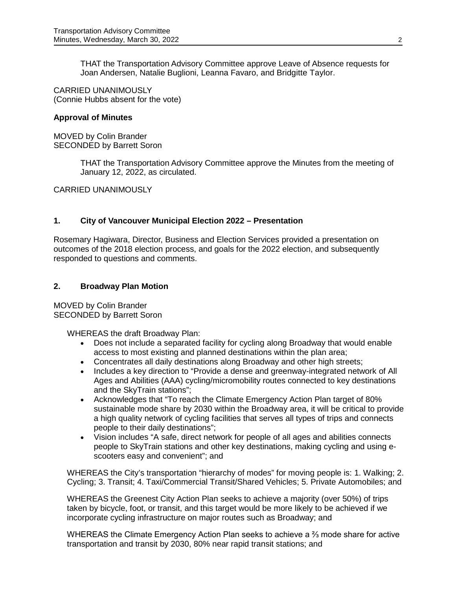THAT the Transportation Advisory Committee approve Leave of Absence requests for Joan Andersen, Natalie Buglioni, Leanna Favaro, and Bridgitte Taylor.

CARRIED UNANIMOUSLY (Connie Hubbs absent for the vote)

#### **Approval of Minutes**

MOVED by Colin Brander SECONDED by Barrett Soron

> THAT the Transportation Advisory Committee approve the Minutes from the meeting of January 12, 2022, as circulated.

CARRIED UNANIMOUSLY

### **1. City of Vancouver Municipal Election 2022 – Presentation**

Rosemary Hagiwara, Director, Business and Election Services provided a presentation on outcomes of the 2018 election process, and goals for the 2022 election, and subsequently responded to questions and comments.

### **2. Broadway Plan Motion**

MOVED by Colin Brander SECONDED by Barrett Soron

WHEREAS the draft Broadway Plan:

- Does not include a separated facility for cycling along Broadway that would enable access to most existing and planned destinations within the plan area;
- Concentrates all daily destinations along Broadway and other high streets;
- Includes a key direction to "Provide a dense and greenway-integrated network of All Ages and Abilities (AAA) cycling/micromobility routes connected to key destinations and the SkyTrain stations";
- Acknowledges that "To reach the Climate Emergency Action Plan target of 80% sustainable mode share by 2030 within the Broadway area, it will be critical to provide a high quality network of cycling facilities that serves all types of trips and connects people to their daily destinations";
- Vision includes "A safe, direct network for people of all ages and abilities connects people to SkyTrain stations and other key destinations, making cycling and using escooters easy and convenient"; and

WHEREAS the City's transportation "hierarchy of modes" for moving people is: 1. Walking; 2. Cycling; 3. Transit; 4. Taxi/Commercial Transit/Shared Vehicles; 5. Private Automobiles; and

WHEREAS the Greenest City Action Plan seeks to achieve a majority (over 50%) of trips taken by bicycle, foot, or transit, and this target would be more likely to be achieved if we incorporate cycling infrastructure on major routes such as Broadway; and

WHEREAS the Climate Emergency Action Plan seeks to achieve a  $\frac{2}{3}$  mode share for active transportation and transit by 2030, 80% near rapid transit stations; and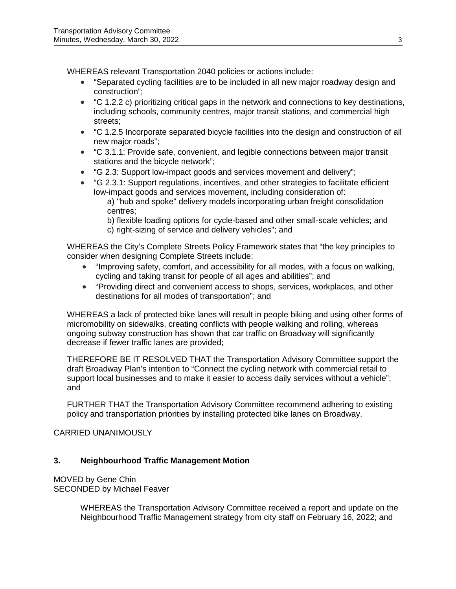WHEREAS relevant Transportation 2040 policies or actions include:

- "Separated cycling facilities are to be included in all new major roadway design and construction";
- "C 1.2.2 c) prioritizing critical gaps in the network and connections to key destinations, including schools, community centres, major transit stations, and commercial high streets;
- "C 1.2.5 Incorporate separated bicycle facilities into the design and construction of all new major roads";
- "C 3.1.1: Provide safe, convenient, and legible connections between major transit stations and the bicycle network";
- "G 2.3: Support low-impact goods and services movement and delivery";
- "G 2.3.1: Support regulations, incentives, and other strategies to facilitate efficient low-impact goods and services movement, including consideration of:
	- a) "hub and spoke" delivery models incorporating urban freight consolidation centres;
	- b) flexible loading options for cycle-based and other small-scale vehicles; and c) right-sizing of service and delivery vehicles"; and

WHEREAS the City's Complete Streets Policy Framework states that "the key principles to consider when designing Complete Streets include:

- "Improving safety, comfort, and accessibility for all modes, with a focus on walking, cycling and taking transit for people of all ages and abilities"; and
- "Providing direct and convenient access to shops, services, workplaces, and other destinations for all modes of transportation"; and

WHEREAS a lack of protected bike lanes will result in people biking and using other forms of micromobility on sidewalks, creating conflicts with people walking and rolling, whereas ongoing subway construction has shown that car traffic on Broadway will significantly decrease if fewer traffic lanes are provided;

THEREFORE BE IT RESOLVED THAT the Transportation Advisory Committee support the draft Broadway Plan's intention to "Connect the cycling network with commercial retail to support local businesses and to make it easier to access daily services without a vehicle"; and

FURTHER THAT the Transportation Advisory Committee recommend adhering to existing policy and transportation priorities by installing protected bike lanes on Broadway.

# CARRIED UNANIMOUSLY

# **3. Neighbourhood Traffic Management Motion**

MOVED by Gene Chin SECONDED by Michael Feaver

> WHEREAS the Transportation Advisory Committee received a report and update on the Neighbourhood Traffic Management strategy from city staff on February 16, 2022; and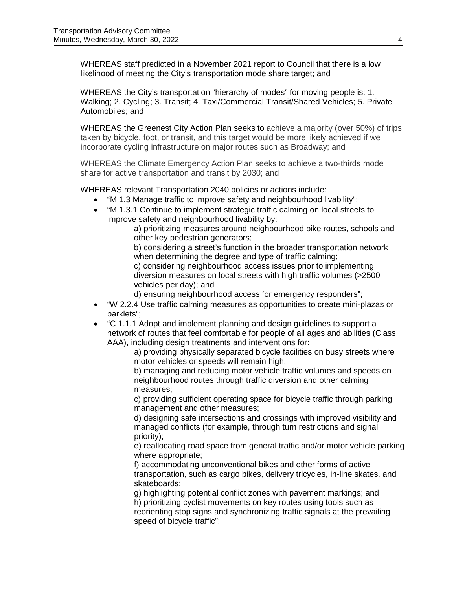WHEREAS staff predicted in a November 2021 report to Council that there is a low likelihood of meeting the City's transportation mode share target; and

WHEREAS the City's transportation "hierarchy of modes" for moving people is: 1. Walking; 2. Cycling; 3. Transit; 4. Taxi/Commercial Transit/Shared Vehicles; 5. Private Automobiles; and

WHEREAS the Greenest City Action Plan seeks to achieve a majority (over 50%) of trips taken by bicycle, foot, or transit, and this target would be more likely achieved if we incorporate cycling infrastructure on major routes such as Broadway; and

WHEREAS the Climate Emergency Action Plan seeks to achieve a two-thirds mode share for active transportation and transit by 2030; and

WHEREAS relevant Transportation 2040 policies or actions include:

- "M 1.3 Manage traffic to improve safety and neighbourhood livability";
- "M 1.3.1 Continue to implement strategic traffic calming on local streets to improve safety and neighbourhood livability by:

a) prioritizing measures around neighbourhood bike routes, schools and other key pedestrian generators;

b) considering a street's function in the broader transportation network when determining the degree and type of traffic calming;

c) considering neighbourhood access issues prior to implementing diversion measures on local streets with high traffic volumes (>2500 vehicles per day); and

d) ensuring neighbourhood access for emergency responders";

- "W 2.2.4 Use traffic calming measures as opportunities to create mini-plazas or parklets";
- "C 1.1.1 Adopt and implement planning and design guidelines to support a network of routes that feel comfortable for people of all ages and abilities (Class AAA), including design treatments and interventions for:

a) providing physically separated bicycle facilities on busy streets where motor vehicles or speeds will remain high;

b) managing and reducing motor vehicle traffic volumes and speeds on neighbourhood routes through traffic diversion and other calming measures;

c) providing sufficient operating space for bicycle traffic through parking management and other measures;

d) designing safe intersections and crossings with improved visibility and managed conflicts (for example, through turn restrictions and signal priority);

e) reallocating road space from general traffic and/or motor vehicle parking where appropriate;

f) accommodating unconventional bikes and other forms of active transportation, such as cargo bikes, delivery tricycles, in-line skates, and skateboards;

g) highlighting potential conflict zones with pavement markings; and h) prioritizing cyclist movements on key routes using tools such as reorienting stop signs and synchronizing traffic signals at the prevailing speed of bicycle traffic";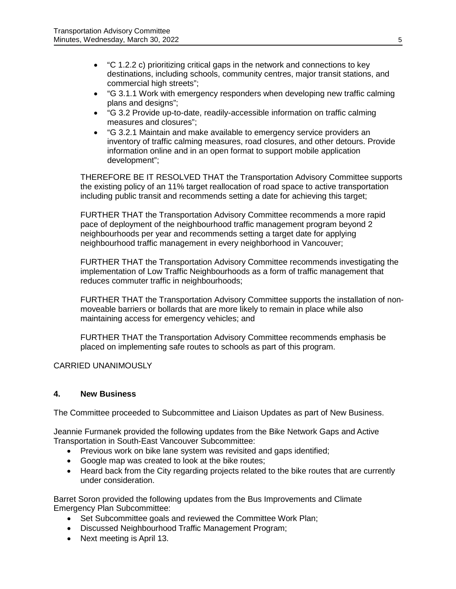- "C 1.2.2 c) prioritizing critical gaps in the network and connections to key destinations, including schools, community centres, major transit stations, and commercial high streets";
- "G 3.1.1 Work with emergency responders when developing new traffic calming plans and designs";
- "G 3.2 Provide up-to-date, readily-accessible information on traffic calming measures and closures";
- "G 3.2.1 Maintain and make available to emergency service providers an inventory of traffic calming measures, road closures, and other detours. Provide information online and in an open format to support mobile application development";

THEREFORE BE IT RESOLVED THAT the Transportation Advisory Committee supports the existing policy of an 11% target reallocation of road space to active transportation including public transit and recommends setting a date for achieving this target;

FURTHER THAT the Transportation Advisory Committee recommends a more rapid pace of deployment of the neighbourhood traffic management program beyond 2 neighbourhoods per year and recommends setting a target date for applying neighbourhood traffic management in every neighborhood in Vancouver;

FURTHER THAT the Transportation Advisory Committee recommends investigating the implementation of Low Traffic Neighbourhoods as a form of traffic management that reduces commuter traffic in neighbourhoods;

FURTHER THAT the Transportation Advisory Committee supports the installation of nonmoveable barriers or bollards that are more likely to remain in place while also maintaining access for emergency vehicles; and

FURTHER THAT the Transportation Advisory Committee recommends emphasis be placed on implementing safe routes to schools as part of this program.

CARRIED UNANIMOUSLY

# **4. New Business**

The Committee proceeded to Subcommittee and Liaison Updates as part of New Business.

Jeannie Furmanek provided the following updates from the Bike Network Gaps and Active Transportation in South-East Vancouver Subcommittee:

- Previous work on bike lane system was revisited and gaps identified;
- Google map was created to look at the bike routes;
- Heard back from the City regarding projects related to the bike routes that are currently under consideration.

Barret Soron provided the following updates from the Bus Improvements and Climate Emergency Plan Subcommittee:

- Set Subcommittee goals and reviewed the Committee Work Plan;
- Discussed Neighbourhood Traffic Management Program;
- Next meeting is April 13.